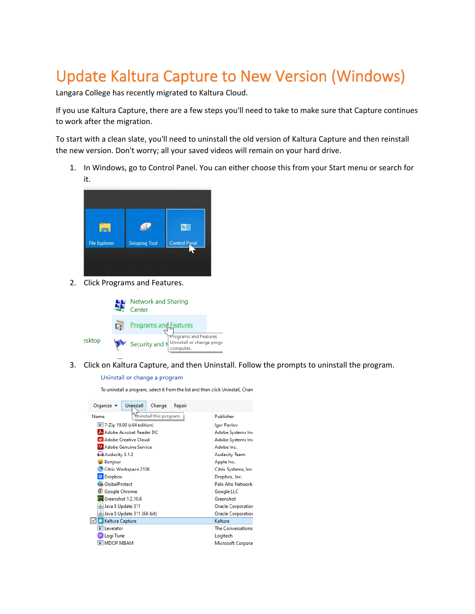## Update Kaltura Capture to New Version (Windows)

Langara College has recently migrated to Kaltura Cloud.

If you use Kaltura Capture, there are a few steps you'll need to take to make sure that Capture continues to work after the migration.

To start with a clean slate, you'll need to uninstall the old version of Kaltura Capture and then reinstall the new version. Don't worry; all your saved videos will remain on your hard drive.

1. In Windows, go to Control Panel. You can either choose this from your Start menu or search for it.



2. Click Programs and Features.



3. Click on Kaltura Capture, and then Uninstall. Follow the prompts to uninstall the program.

## Uninstall or change a program

To uninstall a program, select it from the list and then click Uninstall, Chan

| Organize $\blacktriangledown$<br><b>Uniostall</b><br>Change<br>Repair |                           |
|-----------------------------------------------------------------------|---------------------------|
| Uninstall this program.<br>Name                                       | Publisher                 |
| $\equiv$ 7-Zip 19.00 (x64 edition)                                    | Igor Pavlov               |
| Adobe Acrobat Reader DC                                               | Adobe Systems Inc         |
| Adobe Creative Cloud                                                  | Adobe Systems Inc         |
| A Adobe Genuine Service                                               | Adobe Inc.                |
| Audacity 3.1.3                                                        | <b>Audacity Team</b>      |
| Bonjour                                                               | Apple Inc.                |
| Citrix Workspace 2106                                                 | Citrix Systems, Inc.      |
| <b>Dropbox</b>                                                        | Dropbox, Inc.             |
| GlobalProtect                                                         | Palo Alto Networks        |
| Google Chrome                                                         | Google LLC                |
| Greenshot 1.2.10.6                                                    | Greenshot                 |
| Java 8 Update 311                                                     | <b>Oracle Corporation</b> |
| ≗Java 8 Update 311 (64-bit)                                           | <b>Oracle Corporation</b> |
| <b>Z</b> Kaltura Capture                                              | Kaltura                   |
| <b>Ell</b> evelator                                                   | The Conversations         |
| Logi Tune                                                             | Logitech                  |
| <b>EMDOP MBAM</b>                                                     | <b>Microsoft Corporat</b> |